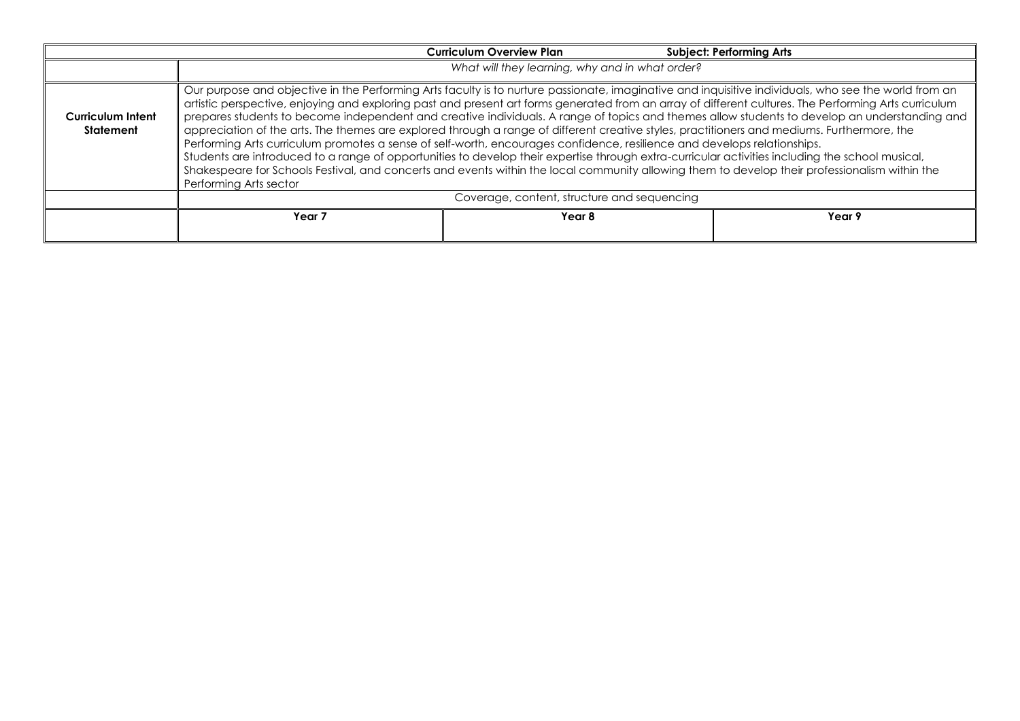|                                |                                                                                                                                                                                                                                                                                                                                                                                                                                                                                                                                                                                                                                                                                                                                                                                                                                                                                                                                                                                                                                                                            | <b>Curriculum Overview Plan</b> | <b>Subject: Performing Arts</b> |
|--------------------------------|----------------------------------------------------------------------------------------------------------------------------------------------------------------------------------------------------------------------------------------------------------------------------------------------------------------------------------------------------------------------------------------------------------------------------------------------------------------------------------------------------------------------------------------------------------------------------------------------------------------------------------------------------------------------------------------------------------------------------------------------------------------------------------------------------------------------------------------------------------------------------------------------------------------------------------------------------------------------------------------------------------------------------------------------------------------------------|---------------------------------|---------------------------------|
|                                | What will they learning, why and in what order?                                                                                                                                                                                                                                                                                                                                                                                                                                                                                                                                                                                                                                                                                                                                                                                                                                                                                                                                                                                                                            |                                 |                                 |
| Curriculum Intent<br>Statement | Our purpose and objective in the Performing Arts faculty is to nurture passionate, imaginative and inquisitive individuals, who see the world from an<br>artistic perspective, enjoying and exploring past and present art forms generated from an array of different cultures. The Performing Arts curriculum<br>prepares students to become independent and creative individuals. A range of topics and themes allow students to develop an understanding and<br>appreciation of the arts. The themes are explored through a range of different creative styles, practitioners and mediums. Furthermore, the<br>Performing Arts curriculum promotes a sense of self-worth, encourages confidence, resilience and develops relationships.<br>Students are introduced to a range of opportunities to develop their expertise through extra-curricular activities including the school musical,<br>Shakespeare for Schools Festival, and concerts and events within the local community allowing them to develop their professionalism within the<br>Performing Arts sector |                                 |                                 |
|                                | Coverage, content, structure and sequencing                                                                                                                                                                                                                                                                                                                                                                                                                                                                                                                                                                                                                                                                                                                                                                                                                                                                                                                                                                                                                                |                                 |                                 |
|                                | Year <sub>7</sub>                                                                                                                                                                                                                                                                                                                                                                                                                                                                                                                                                                                                                                                                                                                                                                                                                                                                                                                                                                                                                                                          | Year 8                          | Year 9                          |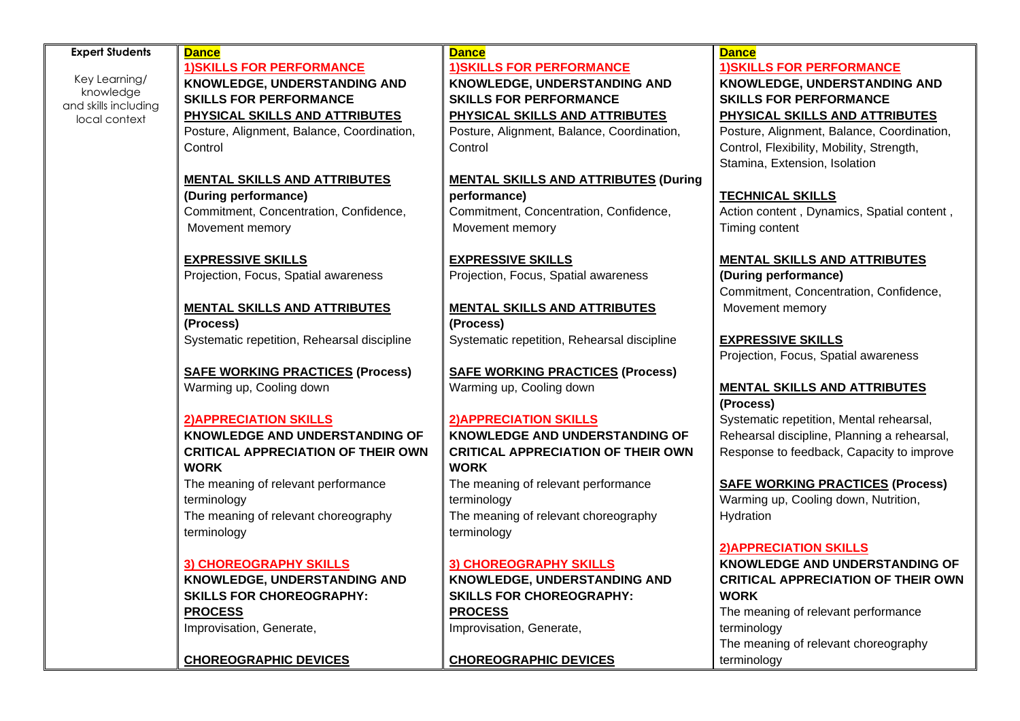| <b>Expert Students</b>            | <b>Dance</b>                                | <b>Dance</b>                                | <b>Dance</b>                                |
|-----------------------------------|---------------------------------------------|---------------------------------------------|---------------------------------------------|
|                                   | <b>1) SKILLS FOR PERFORMANCE</b>            | <b>1) SKILLS FOR PERFORMANCE</b>            | <b>1) SKILLS FOR PERFORMANCE</b>            |
| Key Learning/                     | <b>KNOWLEDGE, UNDERSTANDING AND</b>         | <b>KNOWLEDGE, UNDERSTANDING AND</b>         | KNOWLEDGE, UNDERSTANDING AND                |
| knowledge<br>and skills including | <b>SKILLS FOR PERFORMANCE</b>               | <b>SKILLS FOR PERFORMANCE</b>               | <b>SKILLS FOR PERFORMANCE</b>               |
| local context                     | PHYSICAL SKILLS AND ATTRIBUTES              | PHYSICAL SKILLS AND ATTRIBUTES              | PHYSICAL SKILLS AND ATTRIBUTES              |
|                                   | Posture, Alignment, Balance, Coordination,  | Posture, Alignment, Balance, Coordination,  | Posture, Alignment, Balance, Coordination,  |
|                                   | Control                                     | Control                                     | Control, Flexibility, Mobility, Strength,   |
|                                   |                                             |                                             | Stamina, Extension, Isolation               |
|                                   | <b>MENTAL SKILLS AND ATTRIBUTES</b>         | <b>MENTAL SKILLS AND ATTRIBUTES (During</b> |                                             |
|                                   | (During performance)                        | performance)                                | <b>TECHNICAL SKILLS</b>                     |
|                                   | Commitment, Concentration, Confidence,      | Commitment, Concentration, Confidence,      | Action content, Dynamics, Spatial content,  |
|                                   | Movement memory                             | Movement memory                             | Timing content                              |
|                                   |                                             |                                             |                                             |
|                                   | <b>EXPRESSIVE SKILLS</b>                    | <b>EXPRESSIVE SKILLS</b>                    | <b>MENTAL SKILLS AND ATTRIBUTES</b>         |
|                                   | Projection, Focus, Spatial awareness        | Projection, Focus, Spatial awareness        | (During performance)                        |
|                                   |                                             |                                             | Commitment, Concentration, Confidence,      |
|                                   | <b>MENTAL SKILLS AND ATTRIBUTES</b>         | <b>MENTAL SKILLS AND ATTRIBUTES</b>         | Movement memory                             |
|                                   | (Process)                                   | (Process)                                   |                                             |
|                                   | Systematic repetition, Rehearsal discipline | Systematic repetition, Rehearsal discipline | <b>EXPRESSIVE SKILLS</b>                    |
|                                   |                                             |                                             | Projection, Focus, Spatial awareness        |
|                                   | <b>SAFE WORKING PRACTICES (Process)</b>     | <b>SAFE WORKING PRACTICES (Process)</b>     |                                             |
|                                   | Warming up, Cooling down                    | Warming up, Cooling down                    | <b>MENTAL SKILLS AND ATTRIBUTES</b>         |
|                                   |                                             |                                             | (Process)                                   |
|                                   | <b>2) APPRECIATION SKILLS</b>               | <b>2) APPRECIATION SKILLS</b>               | Systematic repetition, Mental rehearsal,    |
|                                   | KNOWLEDGE AND UNDERSTANDING OF              | KNOWLEDGE AND UNDERSTANDING OF              | Rehearsal discipline, Planning a rehearsal, |
|                                   | <b>CRITICAL APPRECIATION OF THEIR OWN</b>   | <b>CRITICAL APPRECIATION OF THEIR OWN</b>   | Response to feedback, Capacity to improve   |
|                                   | <b>WORK</b>                                 | <b>WORK</b>                                 |                                             |
|                                   | The meaning of relevant performance         | The meaning of relevant performance         | <b>SAFE WORKING PRACTICES (Process)</b>     |
|                                   | terminology                                 | terminology                                 | Warming up, Cooling down, Nutrition,        |
|                                   | The meaning of relevant choreography        | The meaning of relevant choreography        | Hydration                                   |
|                                   | terminology                                 | terminology                                 |                                             |
|                                   |                                             |                                             | <b>2) APPRECIATION SKILLS</b>               |
|                                   | 3) CHOREOGRAPHY SKILLS                      | 3) CHOREOGRAPHY SKILLS                      | KNOWLEDGE AND UNDERSTANDING OF              |
|                                   | KNOWLEDGE, UNDERSTANDING AND                | KNOWLEDGE, UNDERSTANDING AND                | <b>CRITICAL APPRECIATION OF THEIR OWN</b>   |
|                                   | <b>SKILLS FOR CHOREOGRAPHY:</b>             | <b>SKILLS FOR CHOREOGRAPHY:</b>             | <b>WORK</b>                                 |
|                                   | <b>PROCESS</b>                              | <b>PROCESS</b>                              | The meaning of relevant performance         |
|                                   | Improvisation, Generate,                    | Improvisation, Generate,                    | terminology                                 |
|                                   |                                             |                                             | The meaning of relevant choreography        |
|                                   | <b>CHOREOGRAPHIC DEVICES</b>                | <b>CHOREOGRAPHIC DEVICES</b>                | terminology                                 |
|                                   |                                             |                                             |                                             |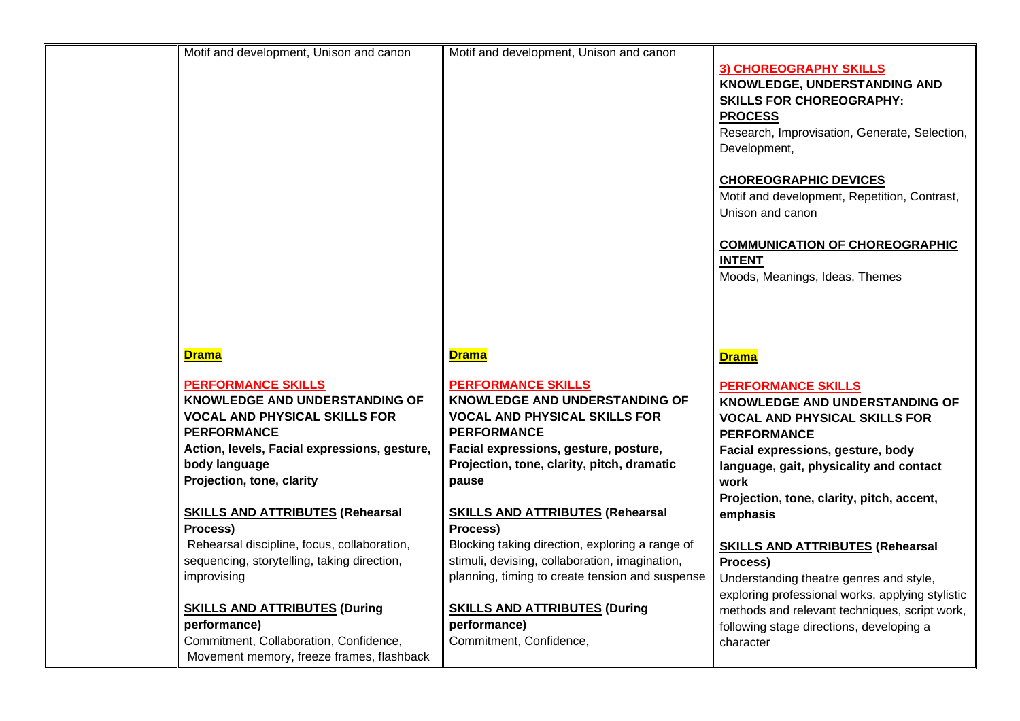| Motif and development, Unison and canon      | Motif and development, Unison and canon         |                                                  |
|----------------------------------------------|-------------------------------------------------|--------------------------------------------------|
|                                              |                                                 |                                                  |
|                                              |                                                 | <b>3) CHOREOGRAPHY SKILLS</b>                    |
|                                              |                                                 | KNOWLEDGE, UNDERSTANDING AND                     |
|                                              |                                                 | <b>SKILLS FOR CHOREOGRAPHY:</b>                  |
|                                              |                                                 | <b>PROCESS</b>                                   |
|                                              |                                                 | Research, Improvisation, Generate, Selection,    |
|                                              |                                                 | Development,                                     |
|                                              |                                                 |                                                  |
|                                              |                                                 | <b>CHOREOGRAPHIC DEVICES</b>                     |
|                                              |                                                 |                                                  |
|                                              |                                                 | Motif and development, Repetition, Contrast,     |
|                                              |                                                 | Unison and canon                                 |
|                                              |                                                 |                                                  |
|                                              |                                                 | <b>COMMUNICATION OF CHOREOGRAPHIC</b>            |
|                                              |                                                 | <b>INTENT</b>                                    |
|                                              |                                                 | Moods, Meanings, Ideas, Themes                   |
|                                              |                                                 |                                                  |
|                                              |                                                 |                                                  |
|                                              |                                                 |                                                  |
|                                              |                                                 |                                                  |
| <b>Drama</b>                                 | <b>Drama</b>                                    | <b>Drama</b>                                     |
|                                              |                                                 |                                                  |
| <b>PERFORMANCE SKILLS</b>                    | <b>PERFORMANCE SKILLS</b>                       | <b>PERFORMANCE SKILLS</b>                        |
| KNOWLEDGE AND UNDERSTANDING OF               | <b>KNOWLEDGE AND UNDERSTANDING OF</b>           | KNOWLEDGE AND UNDERSTANDING OF                   |
| <b>VOCAL AND PHYSICAL SKILLS FOR</b>         | <b>VOCAL AND PHYSICAL SKILLS FOR</b>            |                                                  |
|                                              |                                                 | <b>VOCAL AND PHYSICAL SKILLS FOR</b>             |
| <b>PERFORMANCE</b>                           | <b>PERFORMANCE</b>                              | <b>PERFORMANCE</b>                               |
| Action, levels, Facial expressions, gesture, | Facial expressions, gesture, posture,           | Facial expressions, gesture, body                |
| body language                                | Projection, tone, clarity, pitch, dramatic      | language, gait, physicality and contact          |
| Projection, tone, clarity                    | pause                                           | work                                             |
|                                              |                                                 | Projection, tone, clarity, pitch, accent,        |
| <b>SKILLS AND ATTRIBUTES (Rehearsal</b>      | <b>SKILLS AND ATTRIBUTES (Rehearsal</b>         | emphasis                                         |
| Process)                                     | Process)                                        |                                                  |
| Rehearsal discipline, focus, collaboration,  | Blocking taking direction, exploring a range of | <b>SKILLS AND ATTRIBUTES (Rehearsal</b>          |
| sequencing, storytelling, taking direction,  | stimuli, devising, collaboration, imagination,  | Process)                                         |
| improvising                                  | planning, timing to create tension and suspense |                                                  |
|                                              |                                                 | Understanding theatre genres and style,          |
|                                              |                                                 | exploring professional works, applying stylistic |
| <b>SKILLS AND ATTRIBUTES (During</b>         | <b>SKILLS AND ATTRIBUTES (During</b>            | methods and relevant techniques, script work,    |
| performance)                                 | performance)                                    | following stage directions, developing a         |
| Commitment, Collaboration, Confidence,       | Commitment, Confidence,                         | character                                        |
| Movement memory, freeze frames, flashback    |                                                 |                                                  |
|                                              |                                                 |                                                  |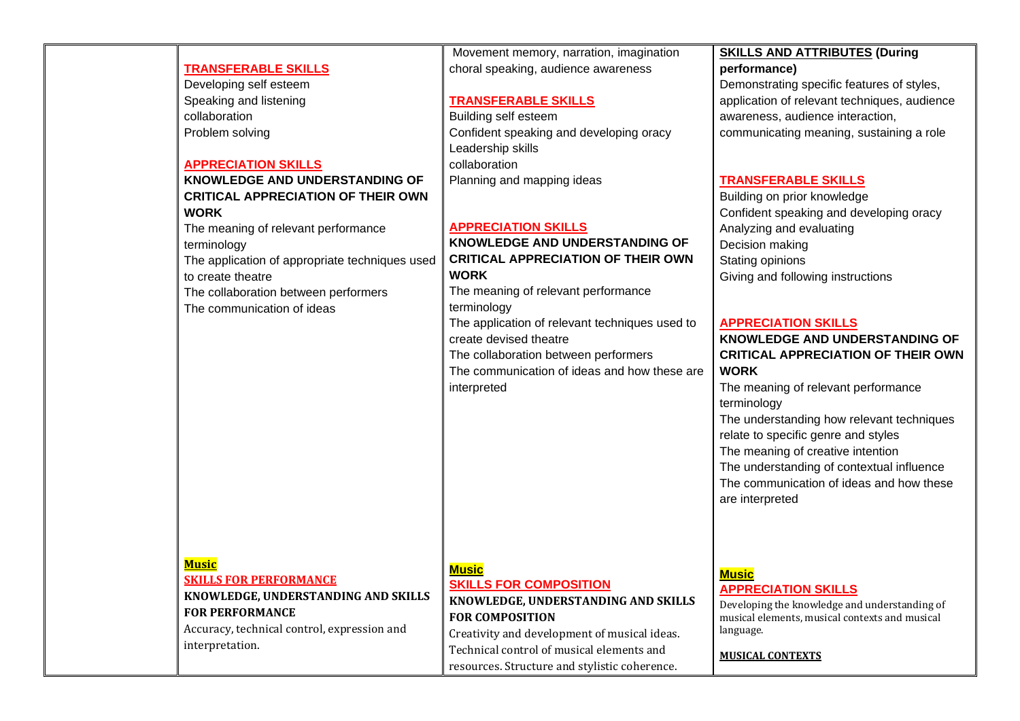|                                                | Movement memory, narration, imagination        | <b>SKILLS AND ATTRIBUTES (During</b>           |
|------------------------------------------------|------------------------------------------------|------------------------------------------------|
| <b>TRANSFERABLE SKILLS</b>                     | choral speaking, audience awareness            | performance)                                   |
| Developing self esteem                         |                                                | Demonstrating specific features of styles,     |
| Speaking and listening                         | <b>TRANSFERABLE SKILLS</b>                     | application of relevant techniques, audience   |
| collaboration                                  | Building self esteem                           | awareness, audience interaction,               |
| Problem solving                                | Confident speaking and developing oracy        | communicating meaning, sustaining a role       |
|                                                | Leadership skills                              |                                                |
| <b>APPRECIATION SKILLS</b>                     | collaboration                                  |                                                |
| KNOWLEDGE AND UNDERSTANDING OF                 | Planning and mapping ideas                     | <b>TRANSFERABLE SKILLS</b>                     |
| <b>CRITICAL APPRECIATION OF THEIR OWN</b>      |                                                | Building on prior knowledge                    |
| <b>WORK</b>                                    |                                                | Confident speaking and developing oracy        |
| The meaning of relevant performance            | <b>APPRECIATION SKILLS</b>                     | Analyzing and evaluating                       |
| terminology                                    | KNOWLEDGE AND UNDERSTANDING OF                 | Decision making                                |
| The application of appropriate techniques used | <b>CRITICAL APPRECIATION OF THEIR OWN</b>      | Stating opinions                               |
| to create theatre                              | <b>WORK</b>                                    | Giving and following instructions              |
| The collaboration between performers           | The meaning of relevant performance            |                                                |
| The communication of ideas                     | terminology                                    |                                                |
|                                                | The application of relevant techniques used to | <b>APPRECIATION SKILLS</b>                     |
|                                                | create devised theatre                         | KNOWLEDGE AND UNDERSTANDING OF                 |
|                                                | The collaboration between performers           | <b>CRITICAL APPRECIATION OF THEIR OWN</b>      |
|                                                | The communication of ideas and how these are   | <b>WORK</b>                                    |
|                                                | interpreted                                    | The meaning of relevant performance            |
|                                                |                                                | terminology                                    |
|                                                |                                                | The understanding how relevant techniques      |
|                                                |                                                | relate to specific genre and styles            |
|                                                |                                                | The meaning of creative intention              |
|                                                |                                                | The understanding of contextual influence      |
|                                                |                                                | The communication of ideas and how these       |
|                                                |                                                | are interpreted                                |
|                                                |                                                |                                                |
|                                                |                                                |                                                |
|                                                |                                                |                                                |
| <u>Music</u>                                   |                                                |                                                |
| <b>SKILLS FOR PERFORMANCE</b>                  | <b>Music</b>                                   | <b>Music</b>                                   |
| KNOWLEDGE, UNDERSTANDING AND SKILLS            | <b>SKILLS FOR COMPOSITION</b>                  | <b>APPRECIATION SKILLS</b>                     |
| <b>FOR PERFORMANCE</b>                         | KNOWLEDGE, UNDERSTANDING AND SKILLS            | Developing the knowledge and understanding of  |
|                                                | <b>FOR COMPOSITION</b>                         | musical elements, musical contexts and musical |
| Accuracy, technical control, expression and    | Creativity and development of musical ideas.   | language.                                      |
| interpretation.                                | Technical control of musical elements and      | <b>MUSICAL CONTEXTS</b>                        |
|                                                | resources. Structure and stylistic coherence.  |                                                |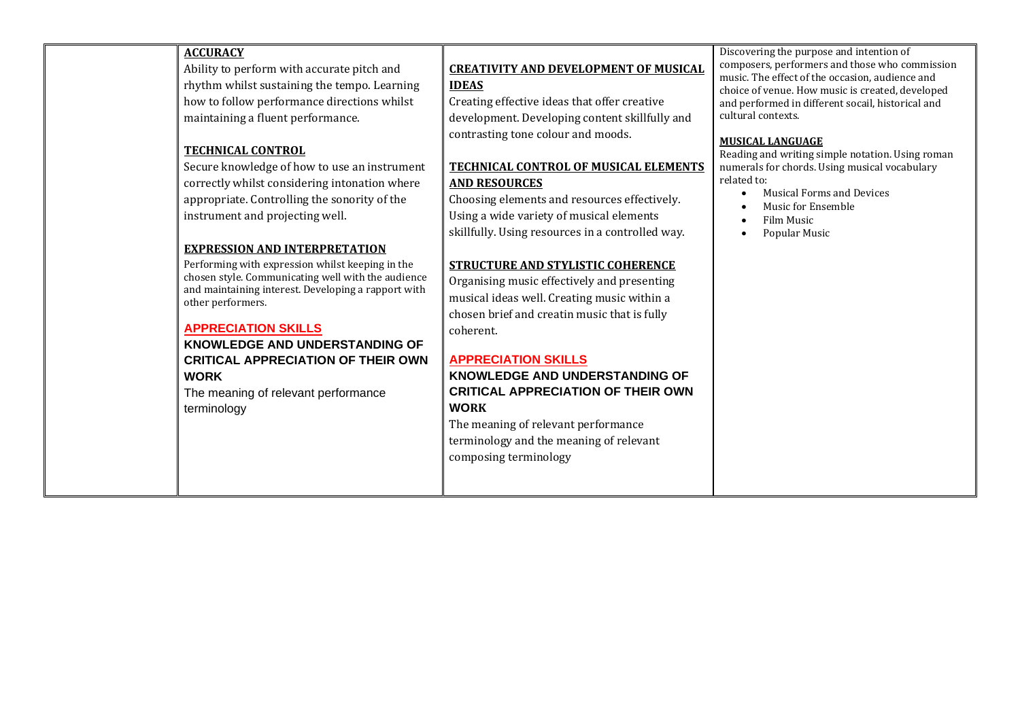| <b>ACCURACY</b><br>Ability to perform with accurate pitch and<br>rhythm whilst sustaining the tempo. Learning<br>how to follow performance directions whilst<br>maintaining a fluent performance.<br><b>TECHNICAL CONTROL</b><br>Secure knowledge of how to use an instrument<br>correctly whilst considering intonation where<br>appropriate. Controlling the sonority of the<br>instrument and projecting well.   | <b>CREATIVITY AND DEVELOPMENT OF MUSICAL</b><br><b>IDEAS</b><br>Creating effective ideas that offer creative<br>development. Developing content skillfully and<br>contrasting tone colour and moods.<br>TECHNICAL CONTROL OF MUSICAL ELEMENTS<br><b>AND RESOURCES</b><br>Choosing elements and resources effectively.<br>Using a wide variety of musical elements                                                                                                     | Discovering the purpose and intention of<br>composers, performers and those who commission<br>music. The effect of the occasion, audience and<br>choice of venue. How music is created, developed<br>and performed in different socail, historical and<br>cultural contexts.<br><b>MUSICAL LANGUAGE</b><br>Reading and writing simple notation. Using roman<br>numerals for chords. Using musical vocabulary<br>related to:<br><b>Musical Forms and Devices</b><br>Music for Ensemble<br>Film Music |
|---------------------------------------------------------------------------------------------------------------------------------------------------------------------------------------------------------------------------------------------------------------------------------------------------------------------------------------------------------------------------------------------------------------------|-----------------------------------------------------------------------------------------------------------------------------------------------------------------------------------------------------------------------------------------------------------------------------------------------------------------------------------------------------------------------------------------------------------------------------------------------------------------------|-----------------------------------------------------------------------------------------------------------------------------------------------------------------------------------------------------------------------------------------------------------------------------------------------------------------------------------------------------------------------------------------------------------------------------------------------------------------------------------------------------|
| <b>EXPRESSION AND INTERPRETATION</b><br>Performing with expression whilst keeping in the<br>chosen style. Communicating well with the audience<br>and maintaining interest. Developing a rapport with<br>other performers.<br><b>APPRECIATION SKILLS</b><br><b>KNOWLEDGE AND UNDERSTANDING OF</b><br><b>CRITICAL APPRECIATION OF THEIR OWN</b><br><b>WORK</b><br>The meaning of relevant performance<br>terminology | skillfully. Using resources in a controlled way.<br><b>STRUCTURE AND STYLISTIC COHERENCE</b><br>Organising music effectively and presenting<br>musical ideas well. Creating music within a<br>chosen brief and creatin music that is fully<br>coherent.<br><b>APPRECIATION SKILLS</b><br>KNOWLEDGE AND UNDERSTANDING OF<br><b>CRITICAL APPRECIATION OF THEIR OWN</b><br><b>WORK</b><br>The meaning of relevant performance<br>terminology and the meaning of relevant | Popular Music                                                                                                                                                                                                                                                                                                                                                                                                                                                                                       |

composing terminology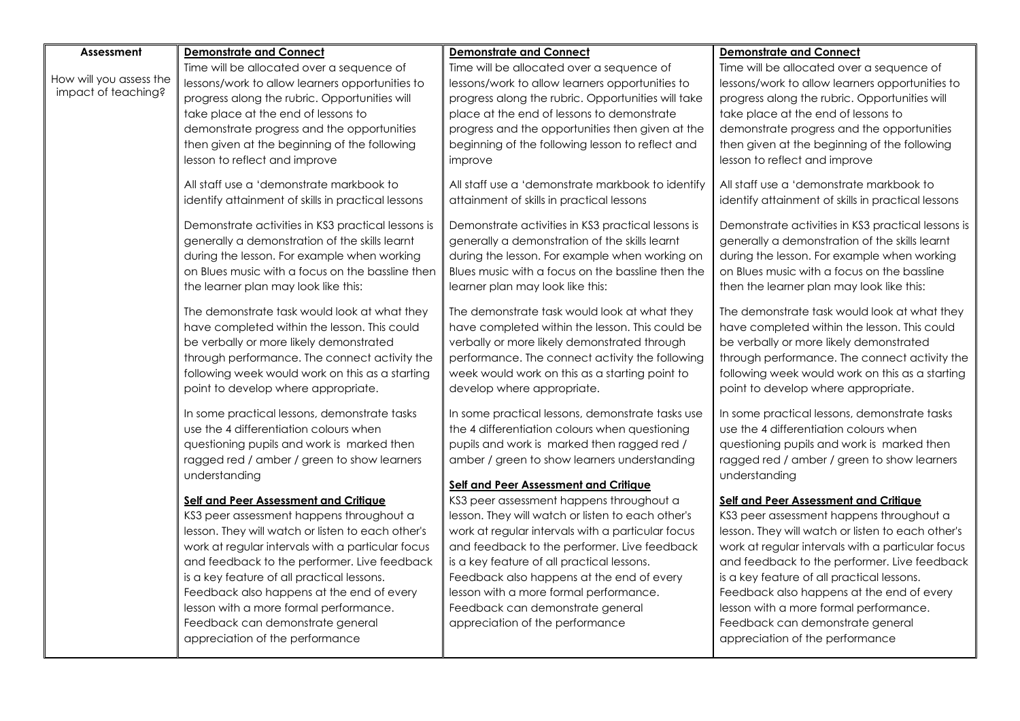| Assessment              | <b>Demonstrate and Connect</b>                                                               | <b>Demonstrate and Connect</b>                                                                  | <b>Demonstrate and Connect</b>                     |
|-------------------------|----------------------------------------------------------------------------------------------|-------------------------------------------------------------------------------------------------|----------------------------------------------------|
|                         | Time will be allocated over a sequence of                                                    | Time will be allocated over a sequence of                                                       | Time will be allocated over a sequence of          |
| How will you assess the |                                                                                              |                                                                                                 |                                                    |
| impact of teaching?     | lessons/work to allow learners opportunities to                                              | lessons/work to allow learners opportunities to                                                 | lessons/work to allow learners opportunities to    |
|                         | progress along the rubric. Opportunities will                                                | progress along the rubric. Opportunities will take                                              | progress along the rubric. Opportunities will      |
|                         | take place at the end of lessons to                                                          | place at the end of lessons to demonstrate                                                      | take place at the end of lessons to                |
|                         | demonstrate progress and the opportunities                                                   | progress and the opportunities then given at the                                                | demonstrate progress and the opportunities         |
|                         | then given at the beginning of the following                                                 | beginning of the following lesson to reflect and                                                | then given at the beginning of the following       |
|                         | lesson to reflect and improve                                                                | improve                                                                                         | lesson to reflect and improve                      |
|                         | All staff use a 'demonstrate markbook to                                                     | All staff use a 'demonstrate markbook to identify                                               | All staff use a 'demonstrate markbook to           |
|                         | identify attainment of skills in practical lessons                                           | attainment of skills in practical lessons                                                       | identify attainment of skills in practical lessons |
|                         | Demonstrate activities in KS3 practical lessons is                                           | Demonstrate activities in KS3 practical lessons is                                              | Demonstrate activities in KS3 practical lessons is |
|                         | generally a demonstration of the skills learnt                                               | generally a demonstration of the skills learnt                                                  | generally a demonstration of the skills learnt     |
|                         | during the lesson. For example when working                                                  | during the lesson. For example when working on                                                  | during the lesson. For example when working        |
|                         | on Blues music with a focus on the bassline then                                             | Blues music with a focus on the bassline then the                                               | on Blues music with a focus on the bassline        |
|                         | the learner plan may look like this:                                                         | learner plan may look like this:                                                                | then the learner plan may look like this:          |
|                         |                                                                                              |                                                                                                 |                                                    |
|                         | The demonstrate task would look at what they<br>have completed within the lesson. This could | The demonstrate task would look at what they<br>have completed within the lesson. This could be | The demonstrate task would look at what they       |
|                         |                                                                                              |                                                                                                 | have completed within the lesson. This could       |
|                         | be verbally or more likely demonstrated                                                      | verbally or more likely demonstrated through                                                    | be verbally or more likely demonstrated            |
|                         | through performance. The connect activity the                                                | performance. The connect activity the following                                                 | through performance. The connect activity the      |
|                         | following week would work on this as a starting                                              | week would work on this as a starting point to                                                  | following week would work on this as a starting    |
|                         | point to develop where appropriate.                                                          | develop where appropriate.                                                                      | point to develop where appropriate.                |
|                         | In some practical lessons, demonstrate tasks                                                 | In some practical lessons, demonstrate tasks use                                                | In some practical lessons, demonstrate tasks       |
|                         | use the 4 differentiation colours when                                                       | the 4 differentiation colours when questioning                                                  | use the 4 differentiation colours when             |
|                         | questioning pupils and work is marked then                                                   | pupils and work is marked then ragged red /                                                     | questioning pupils and work is marked then         |
|                         | ragged red / amber / green to show learners                                                  | amber / green to show learners understanding                                                    | ragged red / amber / green to show learners        |
|                         | understanding                                                                                |                                                                                                 | understanding                                      |
|                         |                                                                                              | Self and Peer Assessment and Critique                                                           |                                                    |
|                         | <b>Self and Peer Assessment and Critique</b>                                                 | KS3 peer assessment happens throughout a                                                        | <b>Self and Peer Assessment and Critique</b>       |
|                         | KS3 peer assessment happens throughout a                                                     | lesson. They will watch or listen to each other's                                               | KS3 peer assessment happens throughout a           |
|                         | lesson. They will watch or listen to each other's                                            | work at regular intervals with a particular focus                                               | lesson. They will watch or listen to each other's  |
|                         | work at regular intervals with a particular focus                                            | and feedback to the performer. Live feedback                                                    | work at regular intervals with a particular focus  |
|                         | and feedback to the performer. Live feedback                                                 | is a key feature of all practical lessons.                                                      | and feedback to the performer. Live feedback       |
|                         | is a key feature of all practical lessons.                                                   | Feedback also happens at the end of every                                                       | is a key feature of all practical lessons.         |
|                         | Feedback also happens at the end of every                                                    | lesson with a more formal performance.                                                          | Feedback also happens at the end of every          |
|                         | lesson with a more formal performance.                                                       | Feedback can demonstrate general                                                                | lesson with a more formal performance.             |
|                         | Feedback can demonstrate general                                                             | appreciation of the performance                                                                 | Feedback can demonstrate general                   |
|                         | appreciation of the performance                                                              |                                                                                                 | appreciation of the performance                    |
|                         |                                                                                              |                                                                                                 |                                                    |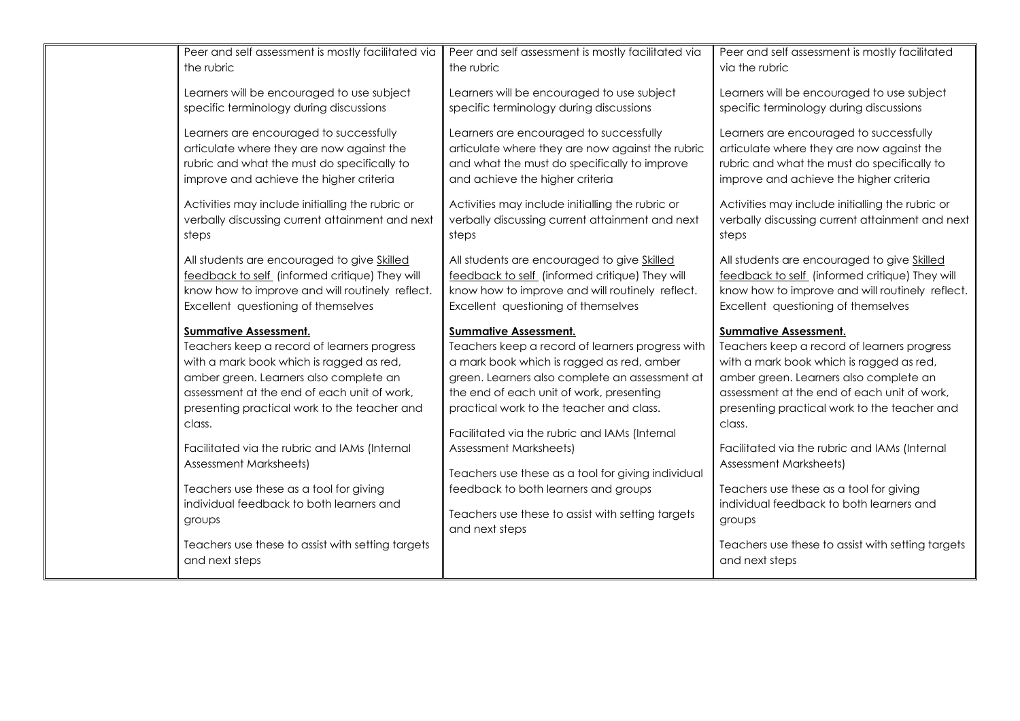| Peer and self assessment is mostly facilitated via | Peer and self assessment is mostly facilitated via                  | Peer and self assessment is mostly facilitated    |
|----------------------------------------------------|---------------------------------------------------------------------|---------------------------------------------------|
| the rubric                                         | the rubric                                                          | via the rubric                                    |
|                                                    |                                                                     |                                                   |
| Learners will be encouraged to use subject         | Learners will be encouraged to use subject                          | Learners will be encouraged to use subject        |
| specific terminology during discussions            | specific terminology during discussions                             | specific terminology during discussions           |
|                                                    |                                                                     |                                                   |
| Learners are encouraged to successfully            | Learners are encouraged to successfully                             | Learners are encouraged to successfully           |
| articulate where they are now against the          | articulate where they are now against the rubric                    | articulate where they are now against the         |
| rubric and what the must do specifically to        | and what the must do specifically to improve                        | rubric and what the must do specifically to       |
| improve and achieve the higher criteria            | and achieve the higher criteria                                     | improve and achieve the higher criteria           |
| Activities may include initialling the rubric or   | Activities may include initialling the rubric or                    | Activities may include initialling the rubric or  |
| verbally discussing current attainment and next    | verbally discussing current attainment and next                     | verbally discussing current attainment and next   |
| steps                                              | steps                                                               | steps                                             |
|                                                    |                                                                     |                                                   |
| All students are encouraged to give Skilled        | All students are encouraged to give Skilled                         | All students are encouraged to give Skilled       |
| feedback to self (informed critique) They will     | feedback to self (informed critique) They will                      | feedback to self (informed critique) They will    |
| know how to improve and will routinely reflect.    | know how to improve and will routinely reflect.                     | know how to improve and will routinely reflect.   |
| Excellent questioning of themselves                | Excellent questioning of themselves                                 | Excellent questioning of themselves               |
|                                                    |                                                                     |                                                   |
|                                                    |                                                                     |                                                   |
| <b>Summative Assessment.</b>                       | <b>Summative Assessment.</b>                                        | <b>Summative Assessment.</b>                      |
| Teachers keep a record of learners progress        | Teachers keep a record of learners progress with                    | Teachers keep a record of learners progress       |
| with a mark book which is ragged as red,           | a mark book which is ragged as red, amber                           | with a mark book which is ragged as red,          |
| amber green. Learners also complete an             | green. Learners also complete an assessment at                      | amber green. Learners also complete an            |
| assessment at the end of each unit of work,        | the end of each unit of work, presenting                            | assessment at the end of each unit of work,       |
| presenting practical work to the teacher and       | practical work to the teacher and class.                            | presenting practical work to the teacher and      |
| class.                                             | Facilitated via the rubric and IAMs (Internal                       | class.                                            |
| Facilitated via the rubric and IAMs (Internal      | <b>Assessment Marksheets)</b>                                       | Facilitated via the rubric and IAMs (Internal     |
| Assessment Marksheets)                             |                                                                     | <b>Assessment Marksheets)</b>                     |
|                                                    | Teachers use these as a tool for giving individual                  |                                                   |
| Teachers use these as a tool for giving            | feedback to both learners and groups                                | Teachers use these as a tool for giving           |
| individual feedback to both learners and           |                                                                     | individual feedback to both learners and          |
| groups                                             | Teachers use these to assist with setting targets<br>and next steps | groups                                            |
| Teachers use these to assist with setting targets  |                                                                     | Teachers use these to assist with setting targets |
| and next steps                                     |                                                                     | and next steps                                    |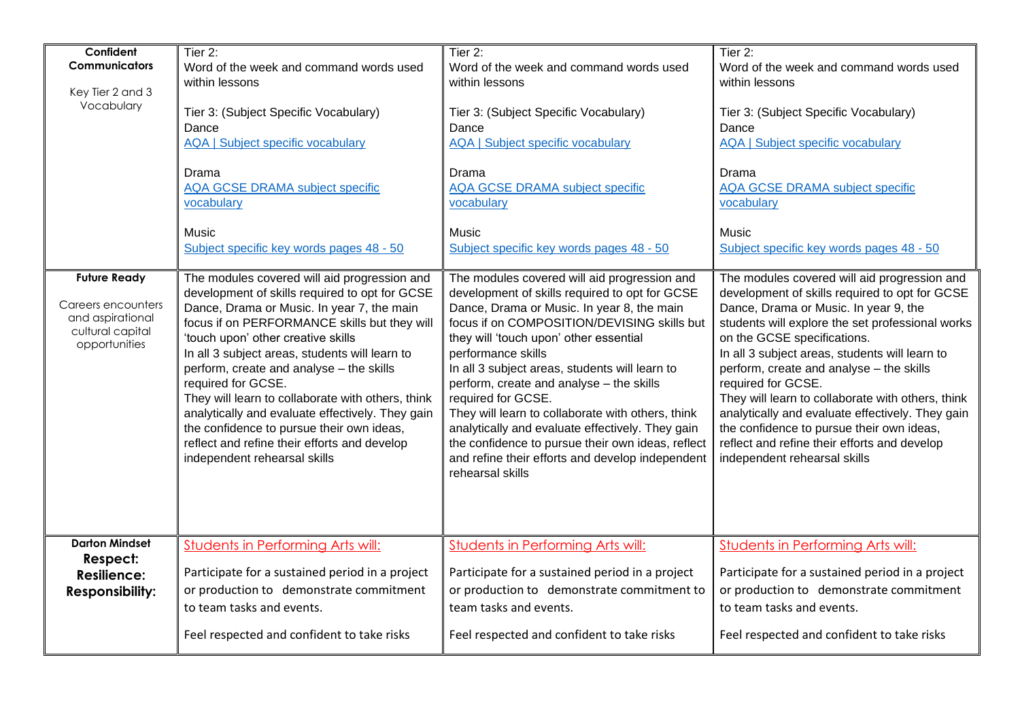| Confident<br><b>Communicators</b><br>Key Tier 2 and 3<br>Vocabulary                                | Tier 2:<br>Word of the week and command words used<br>within lessons<br>Tier 3: (Subject Specific Vocabulary)<br>Dance<br><b>AQA   Subject specific vocabulary</b><br>Drama<br><b>AQA GCSE DRAMA subject specific</b><br>vocabulary                                                                                                                                                                                                                                                                                                                                                          | Tier 2:<br>Word of the week and command words used<br>within lessons<br>Tier 3: (Subject Specific Vocabulary)<br>Dance<br><b>AQA   Subject specific vocabulary</b><br>Drama<br><b>AQA GCSE DRAMA subject specific</b><br>vocabulary                                                                                                                                                                                                                                                                                                                                                                                   | Tier 2:<br>Word of the week and command words used<br>within lessons<br>Tier 3: (Subject Specific Vocabulary)<br>Dance<br><b>AQA   Subject specific vocabulary</b><br>Drama<br><b>AQA GCSE DRAMA subject specific</b><br>vocabulary                                                                                                                                                                                                                                                                                                                                                  |
|----------------------------------------------------------------------------------------------------|----------------------------------------------------------------------------------------------------------------------------------------------------------------------------------------------------------------------------------------------------------------------------------------------------------------------------------------------------------------------------------------------------------------------------------------------------------------------------------------------------------------------------------------------------------------------------------------------|-----------------------------------------------------------------------------------------------------------------------------------------------------------------------------------------------------------------------------------------------------------------------------------------------------------------------------------------------------------------------------------------------------------------------------------------------------------------------------------------------------------------------------------------------------------------------------------------------------------------------|--------------------------------------------------------------------------------------------------------------------------------------------------------------------------------------------------------------------------------------------------------------------------------------------------------------------------------------------------------------------------------------------------------------------------------------------------------------------------------------------------------------------------------------------------------------------------------------|
|                                                                                                    | Music<br>Subject specific key words pages 48 - 50                                                                                                                                                                                                                                                                                                                                                                                                                                                                                                                                            | Music<br>Subject specific key words pages 48 - 50                                                                                                                                                                                                                                                                                                                                                                                                                                                                                                                                                                     | Music<br>Subject specific key words pages 48 - 50                                                                                                                                                                                                                                                                                                                                                                                                                                                                                                                                    |
| <b>Future Ready</b><br>Careers encounters<br>and aspirational<br>cultural capital<br>opportunities | The modules covered will aid progression and<br>development of skills required to opt for GCSE<br>Dance, Drama or Music. In year 7, the main<br>focus if on PERFORMANCE skills but they will<br>'touch upon' other creative skills<br>In all 3 subject areas, students will learn to<br>perform, create and analyse - the skills<br>required for GCSE.<br>They will learn to collaborate with others, think<br>analytically and evaluate effectively. They gain<br>the confidence to pursue their own ideas,<br>reflect and refine their efforts and develop<br>independent rehearsal skills | The modules covered will aid progression and<br>development of skills required to opt for GCSE<br>Dance, Drama or Music. In year 8, the main<br>focus if on COMPOSITION/DEVISING skills but<br>they will 'touch upon' other essential<br>performance skills<br>In all 3 subject areas, students will learn to<br>perform, create and analyse - the skills<br>required for GCSE.<br>They will learn to collaborate with others, think<br>analytically and evaluate effectively. They gain<br>the confidence to pursue their own ideas, reflect<br>and refine their efforts and develop independent<br>rehearsal skills | The modules covered will aid progression and<br>development of skills required to opt for GCSE<br>Dance, Drama or Music. In year 9, the<br>students will explore the set professional works<br>on the GCSE specifications.<br>In all 3 subject areas, students will learn to<br>perform, create and analyse - the skills<br>required for GCSE.<br>They will learn to collaborate with others, think<br>analytically and evaluate effectively. They gain<br>the confidence to pursue their own ideas,<br>reflect and refine their efforts and develop<br>independent rehearsal skills |
| <b>Darton Mindset</b><br>Respect:<br><b>Resilience:</b>                                            | <b>Students in Performing Arts will:</b><br>Participate for a sustained period in a project                                                                                                                                                                                                                                                                                                                                                                                                                                                                                                  | <b>Students in Performing Arts will:</b><br>Participate for a sustained period in a project                                                                                                                                                                                                                                                                                                                                                                                                                                                                                                                           | <b>Students in Performing Arts will:</b><br>Participate for a sustained period in a project                                                                                                                                                                                                                                                                                                                                                                                                                                                                                          |
| <b>Responsibility:</b>                                                                             | or production to demonstrate commitment<br>to team tasks and events.                                                                                                                                                                                                                                                                                                                                                                                                                                                                                                                         | or production to demonstrate commitment to<br>team tasks and events.                                                                                                                                                                                                                                                                                                                                                                                                                                                                                                                                                  | or production to demonstrate commitment<br>to team tasks and events.                                                                                                                                                                                                                                                                                                                                                                                                                                                                                                                 |
|                                                                                                    | Feel respected and confident to take risks                                                                                                                                                                                                                                                                                                                                                                                                                                                                                                                                                   | Feel respected and confident to take risks                                                                                                                                                                                                                                                                                                                                                                                                                                                                                                                                                                            | Feel respected and confident to take risks                                                                                                                                                                                                                                                                                                                                                                                                                                                                                                                                           |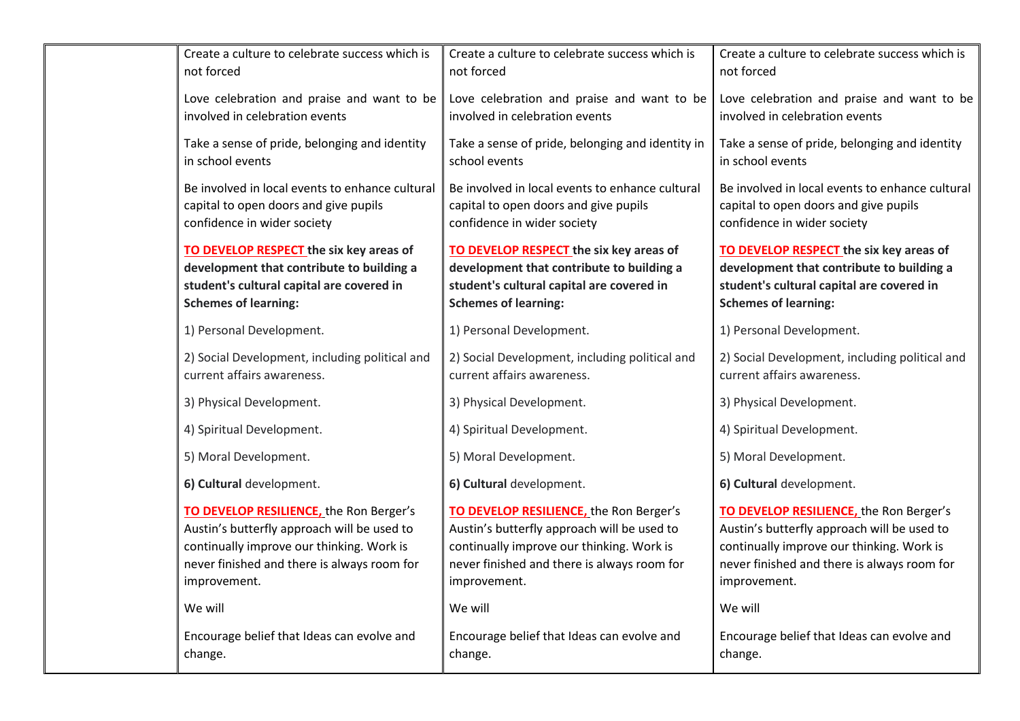| Create a culture to celebrate success which is  | Create a culture to celebrate success which is   | Create a culture to celebrate success which is  |
|-------------------------------------------------|--------------------------------------------------|-------------------------------------------------|
| not forced                                      | not forced                                       | not forced                                      |
| Love celebration and praise and want to be      | Love celebration and praise and want to be       | Love celebration and praise and want to be      |
| involved in celebration events                  | involved in celebration events                   | involved in celebration events                  |
| Take a sense of pride, belonging and identity   | Take a sense of pride, belonging and identity in | Take a sense of pride, belonging and identity   |
| in school events                                | school events                                    | in school events                                |
| Be involved in local events to enhance cultural | Be involved in local events to enhance cultural  | Be involved in local events to enhance cultural |
| capital to open doors and give pupils           | capital to open doors and give pupils            | capital to open doors and give pupils           |
| confidence in wider society                     | confidence in wider society                      | confidence in wider society                     |
| TO DEVELOP RESPECT the six key areas of         | TO DEVELOP RESPECT the six key areas of          | TO DEVELOP RESPECT the six key areas of         |
| development that contribute to building a       | development that contribute to building a        | development that contribute to building a       |
| student's cultural capital are covered in       | student's cultural capital are covered in        | student's cultural capital are covered in       |
| <b>Schemes of learning:</b>                     | <b>Schemes of learning:</b>                      | <b>Schemes of learning:</b>                     |
| 1) Personal Development.                        | 1) Personal Development.                         | 1) Personal Development.                        |
| 2) Social Development, including political and  | 2) Social Development, including political and   | 2) Social Development, including political and  |
| current affairs awareness.                      | current affairs awareness.                       | current affairs awareness.                      |
| 3) Physical Development.                        | 3) Physical Development.                         | 3) Physical Development.                        |
| 4) Spiritual Development.                       | 4) Spiritual Development.                        | 4) Spiritual Development.                       |
| 5) Moral Development.                           | 5) Moral Development.                            | 5) Moral Development.                           |
| 6) Cultural development.                        | 6) Cultural development.                         | 6) Cultural development.                        |
| TO DEVELOP RESILIENCE, the Ron Berger's         | TO DEVELOP RESILIENCE, the Ron Berger's          | TO DEVELOP RESILIENCE, the Ron Berger's         |
| Austin's butterfly approach will be used to     | Austin's butterfly approach will be used to      | Austin's butterfly approach will be used to     |
| continually improve our thinking. Work is       | continually improve our thinking. Work is        | continually improve our thinking. Work is       |
| never finished and there is always room for     | never finished and there is always room for      | never finished and there is always room for     |
| improvement.                                    | improvement.                                     | improvement.                                    |
| We will                                         | We will                                          | We will                                         |
| Encourage belief that Ideas can evolve and      | Encourage belief that Ideas can evolve and       | Encourage belief that Ideas can evolve and      |
| change.                                         | change.                                          | change.                                         |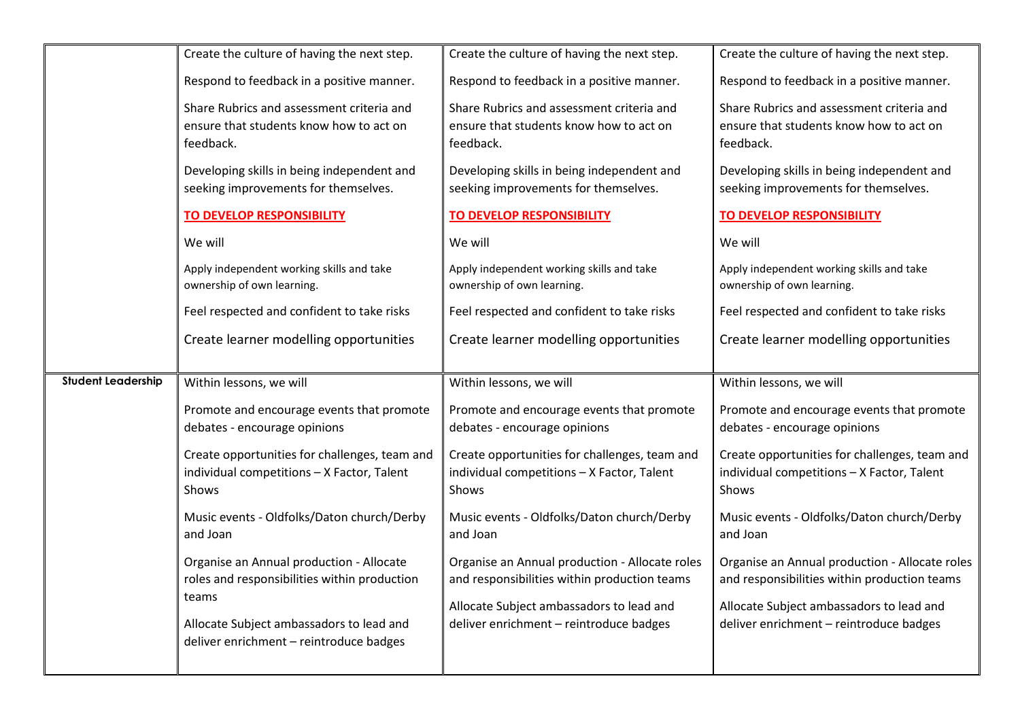|                           | Create the culture of having the next step.                                                          | Create the culture of having the next step.                                                          | Create the culture of having the next step.                                                          |
|---------------------------|------------------------------------------------------------------------------------------------------|------------------------------------------------------------------------------------------------------|------------------------------------------------------------------------------------------------------|
|                           | Respond to feedback in a positive manner.                                                            | Respond to feedback in a positive manner.                                                            | Respond to feedback in a positive manner.                                                            |
|                           | Share Rubrics and assessment criteria and                                                            | Share Rubrics and assessment criteria and                                                            | Share Rubrics and assessment criteria and                                                            |
|                           | ensure that students know how to act on                                                              | ensure that students know how to act on                                                              | ensure that students know how to act on                                                              |
|                           | feedback.                                                                                            | feedback.                                                                                            | feedback.                                                                                            |
|                           | Developing skills in being independent and<br>seeking improvements for themselves.                   | Developing skills in being independent and<br>seeking improvements for themselves.                   | Developing skills in being independent and<br>seeking improvements for themselves.                   |
|                           |                                                                                                      |                                                                                                      |                                                                                                      |
|                           | TO DEVELOP RESPONSIBILITY                                                                            | <b>TO DEVELOP RESPONSIBILITY</b>                                                                     | <b>TO DEVELOP RESPONSIBILITY</b>                                                                     |
|                           | We will                                                                                              | We will                                                                                              | We will                                                                                              |
|                           | Apply independent working skills and take<br>ownership of own learning.                              | Apply independent working skills and take<br>ownership of own learning.                              | Apply independent working skills and take<br>ownership of own learning.                              |
|                           | Feel respected and confident to take risks                                                           | Feel respected and confident to take risks                                                           | Feel respected and confident to take risks                                                           |
|                           | Create learner modelling opportunities                                                               | Create learner modelling opportunities                                                               | Create learner modelling opportunities                                                               |
|                           |                                                                                                      |                                                                                                      |                                                                                                      |
| <b>Student Leadership</b> | Within lessons, we will                                                                              | Within lessons, we will                                                                              | Within lessons, we will                                                                              |
|                           | Promote and encourage events that promote<br>debates - encourage opinions                            | Promote and encourage events that promote<br>debates - encourage opinions                            | Promote and encourage events that promote<br>debates - encourage opinions                            |
|                           | Create opportunities for challenges, team and<br>individual competitions - X Factor, Talent<br>Shows | Create opportunities for challenges, team and<br>individual competitions - X Factor, Talent<br>Shows | Create opportunities for challenges, team and<br>individual competitions - X Factor, Talent<br>Shows |
|                           |                                                                                                      |                                                                                                      |                                                                                                      |
|                           | Music events - Oldfolks/Daton church/Derby<br>and Joan                                               | Music events - Oldfolks/Daton church/Derby<br>and Joan                                               | Music events - Oldfolks/Daton church/Derby<br>and Joan                                               |
|                           | Organise an Annual production - Allocate<br>roles and responsibilities within production             | Organise an Annual production - Allocate roles<br>and responsibilities within production teams       | Organise an Annual production - Allocate roles<br>and responsibilities within production teams       |
|                           | teams                                                                                                | Allocate Subject ambassadors to lead and                                                             | Allocate Subject ambassadors to lead and                                                             |
|                           | Allocate Subject ambassadors to lead and<br>deliver enrichment - reintroduce badges                  | deliver enrichment - reintroduce badges                                                              | deliver enrichment - reintroduce badges                                                              |
|                           |                                                                                                      |                                                                                                      |                                                                                                      |